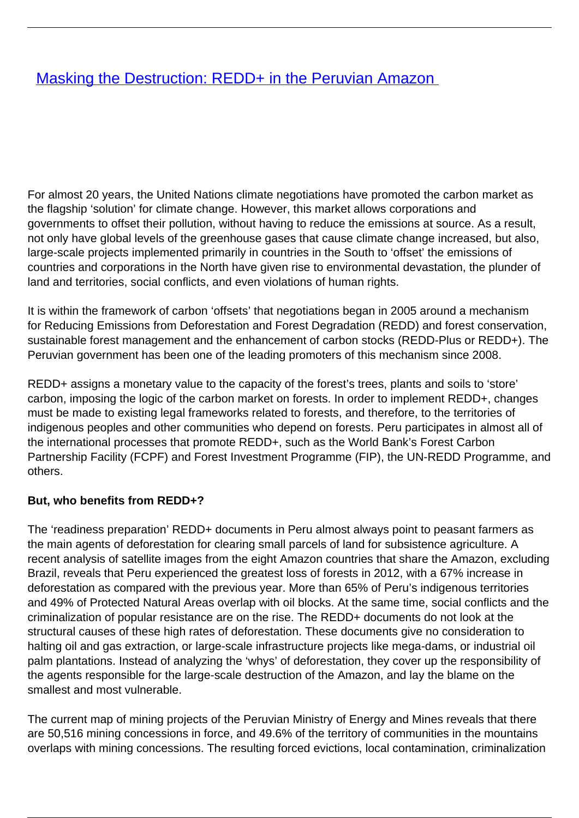# **[Masking the Destruction: REDD+ in the Peruvian Amazon](/bulletin-articles/masking-the-destruction-redd-in-the-peruvian-amazon)**

For almost 20 years, the United Nations climate negotiations have promoted the carbon market as the flagship 'solution' for climate change. However, this market allows corporations and governments to offset their pollution, without having to reduce the emissions at source. As a result, not only have global levels of the greenhouse gases that cause climate change increased, but also, large-scale projects implemented primarily in countries in the South to 'offset' the emissions of countries and corporations in the North have given rise to environmental devastation, the plunder of land and territories, social conflicts, and even violations of human rights.

It is within the framework of carbon 'offsets' that negotiations began in 2005 around a mechanism for Reducing Emissions from Deforestation and Forest Degradation (REDD) and forest conservation, sustainable forest management and the enhancement of carbon stocks (REDD-Plus or REDD+). The Peruvian government has been one of the leading promoters of this mechanism since 2008.

REDD+ assigns a monetary value to the capacity of the forest's trees, plants and soils to 'store' carbon, imposing the logic of the carbon market on forests. In order to implement REDD+, changes must be made to existing legal frameworks related to forests, and therefore, to the territories of indigenous peoples and other communities who depend on forests. Peru participates in almost all of the international processes that promote REDD+, such as the World Bank's Forest Carbon Partnership Facility (FCPF) and Forest Investment Programme (FIP), the UN-REDD Programme, and others.

#### **But, who benefits from REDD+?**

The 'readiness preparation' REDD+ documents in Peru almost always point to peasant farmers as the main agents of deforestation for clearing small parcels of land for subsistence agriculture. A recent analysis of satellite images from the eight Amazon countries that share the Amazon, excluding Brazil, reveals that Peru experienced the greatest loss of forests in 2012, with a 67% increase in deforestation as compared with the previous year. More than 65% of Peru's indigenous territories and 49% of Protected Natural Areas overlap with oil blocks. At the same time, social conflicts and the criminalization of popular resistance are on the rise. The REDD+ documents do not look at the structural causes of these high rates of deforestation. These documents give no consideration to halting oil and gas extraction, or large-scale infrastructure projects like mega-dams, or industrial oil palm plantations. Instead of analyzing the 'whys' of deforestation, they cover up the responsibility of the agents responsible for the large-scale destruction of the Amazon, and lay the blame on the smallest and most vulnerable.

The current map of mining projects of the Peruvian Ministry of Energy and Mines reveals that there are 50,516 mining concessions in force, and 49.6% of the territory of communities in the mountains overlaps with mining concessions. The resulting forced evictions, local contamination, criminalization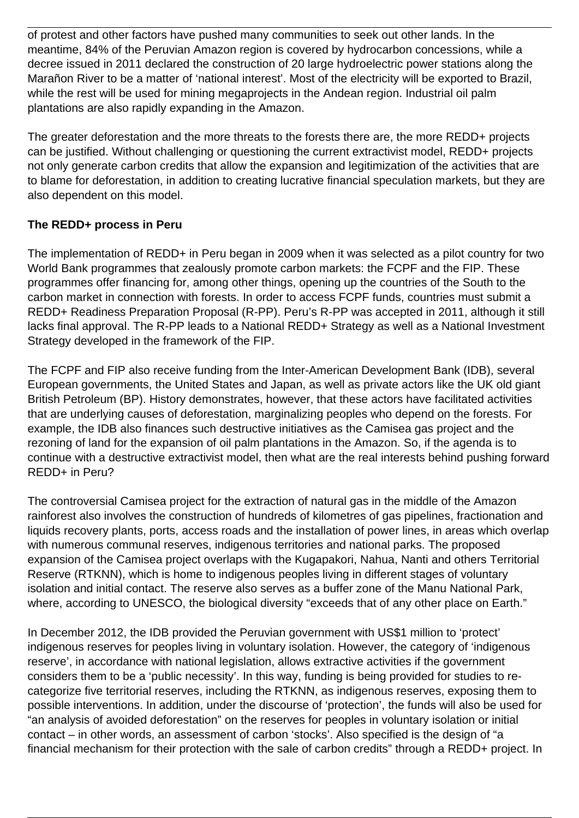of protest and other factors have pushed many communities to seek out other lands. In the meantime, 84% of the Peruvian Amazon region is covered by hydrocarbon concessions, while a decree issued in 2011 declared the construction of 20 large hydroelectric power stations along the Marañon River to be a matter of 'national interest'. Most of the electricity will be exported to Brazil, while the rest will be used for mining megaprojects in the Andean region. Industrial oil palm plantations are also rapidly expanding in the Amazon.

The greater deforestation and the more threats to the forests there are, the more REDD+ projects can be justified. Without challenging or questioning the current extractivist model, REDD+ projects not only generate carbon credits that allow the expansion and legitimization of the activities that are to blame for deforestation, in addition to creating lucrative financial speculation markets, but they are also dependent on this model.

## **The REDD+ process in Peru**

The implementation of REDD+ in Peru began in 2009 when it was selected as a pilot country for two World Bank programmes that zealously promote carbon markets: the FCPF and the FIP. These programmes offer financing for, among other things, opening up the countries of the South to the carbon market in connection with forests. In order to access FCPF funds, countries must submit a REDD+ Readiness Preparation Proposal (R-PP). Peru's R-PP was accepted in 2011, although it still lacks final approval. The R-PP leads to a National REDD+ Strategy as well as a National Investment Strategy developed in the framework of the FIP.

The FCPF and FIP also receive funding from the Inter-American Development Bank (IDB), several European governments, the United States and Japan, as well as private actors like the UK old giant British Petroleum (BP). History demonstrates, however, that these actors have facilitated activities that are underlying causes of deforestation, marginalizing peoples who depend on the forests. For example, the IDB also finances such destructive initiatives as the Camisea gas project and the rezoning of land for the expansion of oil palm plantations in the Amazon. So, if the agenda is to continue with a destructive extractivist model, then what are the real interests behind pushing forward REDD+ in Peru?

The controversial Camisea project for the extraction of natural gas in the middle of the Amazon rainforest also involves the construction of hundreds of kilometres of gas pipelines, fractionation and liquids recovery plants, ports, access roads and the installation of power lines, in areas which overlap with numerous communal reserves, indigenous territories and national parks. The proposed expansion of the Camisea project overlaps with the Kugapakori, Nahua, Nanti and others Territorial Reserve (RTKNN), which is home to indigenous peoples living in different stages of voluntary isolation and initial contact. The reserve also serves as a buffer zone of the Manu National Park, where, according to UNESCO, the biological diversity "exceeds that of any other place on Earth."

In December 2012, the IDB provided the Peruvian government with US\$1 million to 'protect' indigenous reserves for peoples living in voluntary isolation. However, the category of 'indigenous reserve', in accordance with national legislation, allows extractive activities if the government considers them to be a 'public necessity'. In this way, funding is being provided for studies to recategorize five territorial reserves, including the RTKNN, as indigenous reserves, exposing them to possible interventions. In addition, under the discourse of 'protection', the funds will also be used for "an analysis of avoided deforestation" on the reserves for peoples in voluntary isolation or initial contact – in other words, an assessment of carbon 'stocks'. Also specified is the design of "a financial mechanism for their protection with the sale of carbon credits" through a REDD+ project. In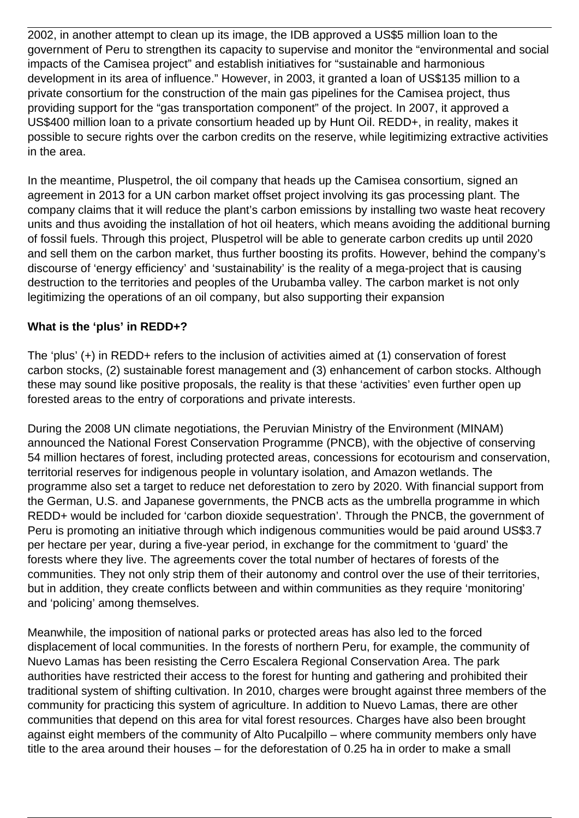2002, in another attempt to clean up its image, the IDB approved a US\$5 million loan to the government of Peru to strengthen its capacity to supervise and monitor the "environmental and social impacts of the Camisea project" and establish initiatives for "sustainable and harmonious development in its area of influence." However, in 2003, it granted a loan of US\$135 million to a private consortium for the construction of the main gas pipelines for the Camisea project, thus providing support for the "gas transportation component" of the project. In 2007, it approved a US\$400 million loan to a private consortium headed up by Hunt Oil. REDD+, in reality, makes it possible to secure rights over the carbon credits on the reserve, while legitimizing extractive activities in the area.

In the meantime, Pluspetrol, the oil company that heads up the Camisea consortium, signed an agreement in 2013 for a UN carbon market offset project involving its gas processing plant. The company claims that it will reduce the plant's carbon emissions by installing two waste heat recovery units and thus avoiding the installation of hot oil heaters, which means avoiding the additional burning of fossil fuels. Through this project, Pluspetrol will be able to generate carbon credits up until 2020 and sell them on the carbon market, thus further boosting its profits. However, behind the company's discourse of 'energy efficiency' and 'sustainability' is the reality of a mega-project that is causing destruction to the territories and peoples of the Urubamba valley. The carbon market is not only legitimizing the operations of an oil company, but also supporting their expansion

#### **What is the 'plus' in REDD+?**

The 'plus' (+) in REDD+ refers to the inclusion of activities aimed at (1) conservation of forest carbon stocks, (2) sustainable forest management and (3) enhancement of carbon stocks. Although these may sound like positive proposals, the reality is that these 'activities' even further open up forested areas to the entry of corporations and private interests.

During the 2008 UN climate negotiations, the Peruvian Ministry of the Environment (MINAM) announced the National Forest Conservation Programme (PNCB), with the objective of conserving 54 million hectares of forest, including protected areas, concessions for ecotourism and conservation, territorial reserves for indigenous people in voluntary isolation, and Amazon wetlands. The programme also set a target to reduce net deforestation to zero by 2020. With financial support from the German, U.S. and Japanese governments, the PNCB acts as the umbrella programme in which REDD+ would be included for 'carbon dioxide sequestration'. Through the PNCB, the government of Peru is promoting an initiative through which indigenous communities would be paid around US\$3.7 per hectare per year, during a five-year period, in exchange for the commitment to 'guard' the forests where they live. The agreements cover the total number of hectares of forests of the communities. They not only strip them of their autonomy and control over the use of their territories, but in addition, they create conflicts between and within communities as they require 'monitoring' and 'policing' among themselves.

Meanwhile, the imposition of national parks or protected areas has also led to the forced displacement of local communities. In the forests of northern Peru, for example, the community of Nuevo Lamas has been resisting the Cerro Escalera Regional Conservation Area. The park authorities have restricted their access to the forest for hunting and gathering and prohibited their traditional system of shifting cultivation. In 2010, charges were brought against three members of the community for practicing this system of agriculture. In addition to Nuevo Lamas, there are other communities that depend on this area for vital forest resources. Charges have also been brought against eight members of the community of Alto Pucalpillo – where community members only have title to the area around their houses – for the deforestation of 0.25 ha in order to make a small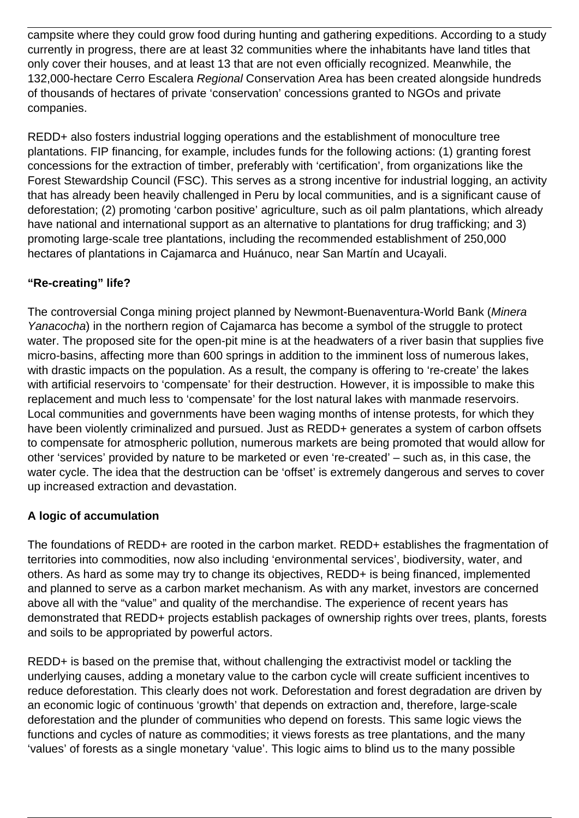campsite where they could grow food during hunting and gathering expeditions. According to a study currently in progress, there are at least 32 communities where the inhabitants have land titles that only cover their houses, and at least 13 that are not even officially recognized. Meanwhile, the 132,000-hectare Cerro Escalera Regional Conservation Area has been created alongside hundreds of thousands of hectares of private 'conservation' concessions granted to NGOs and private companies.

REDD+ also fosters industrial logging operations and the establishment of monoculture tree plantations. FIP financing, for example, includes funds for the following actions: (1) granting forest concessions for the extraction of timber, preferably with 'certification', from organizations like the Forest Stewardship Council (FSC). This serves as a strong incentive for industrial logging, an activity that has already been heavily challenged in Peru by local communities, and is a significant cause of deforestation; (2) promoting 'carbon positive' agriculture, such as oil palm plantations, which already have national and international support as an alternative to plantations for drug trafficking; and 3) promoting large-scale tree plantations, including the recommended establishment of 250,000 hectares of plantations in Cajamarca and Huánuco, near San Martín and Ucayali.

## **"Re-creating" life?**

The controversial Conga mining project planned by Newmont-Buenaventura-World Bank (Minera Yanacocha) in the northern region of Cajamarca has become a symbol of the struggle to protect water. The proposed site for the open-pit mine is at the headwaters of a river basin that supplies five micro-basins, affecting more than 600 springs in addition to the imminent loss of numerous lakes, with drastic impacts on the population. As a result, the company is offering to 're-create' the lakes with artificial reservoirs to 'compensate' for their destruction. However, it is impossible to make this replacement and much less to 'compensate' for the lost natural lakes with manmade reservoirs. Local communities and governments have been waging months of intense protests, for which they have been violently criminalized and pursued. Just as REDD+ generates a system of carbon offsets to compensate for atmospheric pollution, numerous markets are being promoted that would allow for other 'services' provided by nature to be marketed or even 're-created' – such as, in this case, the water cycle. The idea that the destruction can be 'offset' is extremely dangerous and serves to cover up increased extraction and devastation.

### **A logic of accumulation**

The foundations of REDD+ are rooted in the carbon market. REDD+ establishes the fragmentation of territories into commodities, now also including 'environmental services', biodiversity, water, and others. As hard as some may try to change its objectives, REDD+ is being financed, implemented and planned to serve as a carbon market mechanism. As with any market, investors are concerned above all with the "value" and quality of the merchandise. The experience of recent years has demonstrated that REDD+ projects establish packages of ownership rights over trees, plants, forests and soils to be appropriated by powerful actors.

REDD+ is based on the premise that, without challenging the extractivist model or tackling the underlying causes, adding a monetary value to the carbon cycle will create sufficient incentives to reduce deforestation. This clearly does not work. Deforestation and forest degradation are driven by an economic logic of continuous 'growth' that depends on extraction and, therefore, large-scale deforestation and the plunder of communities who depend on forests. This same logic views the functions and cycles of nature as commodities; it views forests as tree plantations, and the many 'values' of forests as a single monetary 'value'. This logic aims to blind us to the many possible